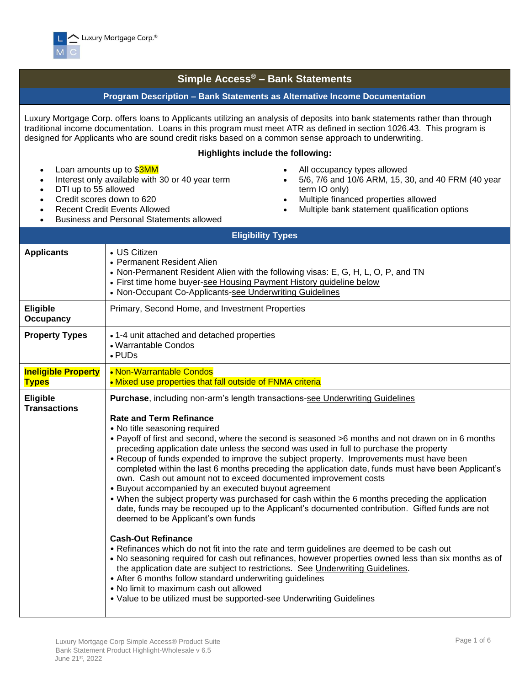

• Loan amounts up to \$3MM

• DTI up to 55 allowed • Credit scores down to 620

## **Simple Access® – Bank Statements**

## **Program Description – Bank Statements as Alternative Income Documentation**

Luxury Mortgage Corp. offers loans to Applicants utilizing an analysis of deposits into bank statements rather than through traditional income documentation. Loans in this program must meet ATR as defined in section 1026.43. This program is designed for Applicants who are sound credit risks based on a common sense approach to underwriting.

## **Highlights include the following:**

- All occupancy types allowed
	- 5/6, 7/6 and 10/6 ARM, 15, 30, and 40 FRM (40 year term IO only)
	- Multiple financed properties allowed
	- Multiple bank statement qualification options
- Recent Credit Events Allowed • Business and Personal Statements allowed

Interest only available with 30 or 40 year term

|                                            | <b>Eligibility Types</b>                                                                                                                                                                                                                                                                                                                                                                                                                                                                                                                                                                                                                                                                                                                                                                                                                                                                                                                                                                                                                                                                                                                                                                                                                                                                                                                                                                                                    |
|--------------------------------------------|-----------------------------------------------------------------------------------------------------------------------------------------------------------------------------------------------------------------------------------------------------------------------------------------------------------------------------------------------------------------------------------------------------------------------------------------------------------------------------------------------------------------------------------------------------------------------------------------------------------------------------------------------------------------------------------------------------------------------------------------------------------------------------------------------------------------------------------------------------------------------------------------------------------------------------------------------------------------------------------------------------------------------------------------------------------------------------------------------------------------------------------------------------------------------------------------------------------------------------------------------------------------------------------------------------------------------------------------------------------------------------------------------------------------------------|
| <b>Applicants</b>                          | • US Citizen<br>• Permanent Resident Alien<br>• Non-Permanent Resident Alien with the following visas: E, G, H, L, O, P, and TN<br>• First time home buyer-see Housing Payment History guideline below<br>• Non-Occupant Co-Applicants-see Underwriting Guidelines                                                                                                                                                                                                                                                                                                                                                                                                                                                                                                                                                                                                                                                                                                                                                                                                                                                                                                                                                                                                                                                                                                                                                          |
| <b>Eligible</b><br><b>Occupancy</b>        | Primary, Second Home, and Investment Properties                                                                                                                                                                                                                                                                                                                                                                                                                                                                                                                                                                                                                                                                                                                                                                                                                                                                                                                                                                                                                                                                                                                                                                                                                                                                                                                                                                             |
| <b>Property Types</b>                      | • 1-4 unit attached and detached properties<br>• Warrantable Condos<br>$\cdot$ PUDs                                                                                                                                                                                                                                                                                                                                                                                                                                                                                                                                                                                                                                                                                                                                                                                                                                                                                                                                                                                                                                                                                                                                                                                                                                                                                                                                         |
| <b>Ineligible Property</b><br><b>Types</b> | • Non-Warrantable Condos<br>• Mixed use properties that fall outside of FNMA criteria                                                                                                                                                                                                                                                                                                                                                                                                                                                                                                                                                                                                                                                                                                                                                                                                                                                                                                                                                                                                                                                                                                                                                                                                                                                                                                                                       |
| Eligible<br><b>Transactions</b>            | Purchase, including non-arm's length transactions-see Underwriting Guidelines<br><b>Rate and Term Refinance</b><br>• No title seasoning required<br>• Payoff of first and second, where the second is seasoned >6 months and not drawn on in 6 months<br>preceding application date unless the second was used in full to purchase the property<br>• Recoup of funds expended to improve the subject property. Improvements must have been<br>completed within the last 6 months preceding the application date, funds must have been Applicant's<br>own. Cash out amount not to exceed documented improvement costs<br>• Buyout accompanied by an executed buyout agreement<br>• When the subject property was purchased for cash within the 6 months preceding the application<br>date, funds may be recouped up to the Applicant's documented contribution. Gifted funds are not<br>deemed to be Applicant's own funds<br><b>Cash-Out Refinance</b><br>• Refinances which do not fit into the rate and term guidelines are deemed to be cash out<br>. No seasoning required for cash out refinances, however properties owned less than six months as of<br>the application date are subject to restrictions. See Underwriting Guidelines.<br>• After 6 months follow standard underwriting guidelines<br>• No limit to maximum cash out allowed<br>• Value to be utilized must be supported-see Underwriting Guidelines |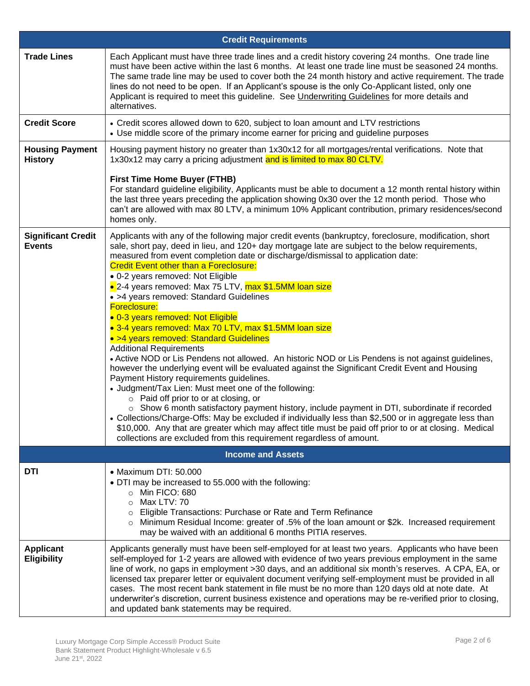|                                            | <b>Credit Requirements</b>                                                                                                                                                                                                                                                                                                                                                                                                                                                                                                                                                                                                                                                                                                                                                                                                                                                                                                                                                                                                                                                                                                                                                                                                                                                                                                                                                                                                                 |
|--------------------------------------------|--------------------------------------------------------------------------------------------------------------------------------------------------------------------------------------------------------------------------------------------------------------------------------------------------------------------------------------------------------------------------------------------------------------------------------------------------------------------------------------------------------------------------------------------------------------------------------------------------------------------------------------------------------------------------------------------------------------------------------------------------------------------------------------------------------------------------------------------------------------------------------------------------------------------------------------------------------------------------------------------------------------------------------------------------------------------------------------------------------------------------------------------------------------------------------------------------------------------------------------------------------------------------------------------------------------------------------------------------------------------------------------------------------------------------------------------|
| <b>Trade Lines</b>                         | Each Applicant must have three trade lines and a credit history covering 24 months. One trade line<br>must have been active within the last 6 months. At least one trade line must be seasoned 24 months.<br>The same trade line may be used to cover both the 24 month history and active requirement. The trade<br>lines do not need to be open. If an Applicant's spouse is the only Co-Applicant listed, only one<br>Applicant is required to meet this guideline. See <i>Underwriting Guidelines</i> for more details and<br>alternatives.                                                                                                                                                                                                                                                                                                                                                                                                                                                                                                                                                                                                                                                                                                                                                                                                                                                                                            |
| <b>Credit Score</b>                        | • Credit scores allowed down to 620, subject to loan amount and LTV restrictions<br>• Use middle score of the primary income earner for pricing and guideline purposes                                                                                                                                                                                                                                                                                                                                                                                                                                                                                                                                                                                                                                                                                                                                                                                                                                                                                                                                                                                                                                                                                                                                                                                                                                                                     |
| <b>Housing Payment</b><br><b>History</b>   | Housing payment history no greater than 1x30x12 for all mortgages/rental verifications. Note that<br>1x30x12 may carry a pricing adjustment and is limited to max 80 CLTV.                                                                                                                                                                                                                                                                                                                                                                                                                                                                                                                                                                                                                                                                                                                                                                                                                                                                                                                                                                                                                                                                                                                                                                                                                                                                 |
|                                            | <b>First Time Home Buyer (FTHB)</b><br>For standard guideline eligibility, Applicants must be able to document a 12 month rental history within<br>the last three years preceding the application showing 0x30 over the 12 month period. Those who<br>can't are allowed with max 80 LTV, a minimum 10% Applicant contribution, primary residences/second<br>homes only.                                                                                                                                                                                                                                                                                                                                                                                                                                                                                                                                                                                                                                                                                                                                                                                                                                                                                                                                                                                                                                                                    |
| <b>Significant Credit</b><br><b>Events</b> | Applicants with any of the following major credit events (bankruptcy, foreclosure, modification, short<br>sale, short pay, deed in lieu, and 120+ day mortgage late are subject to the below requirements,<br>measured from event completion date or discharge/dismissal to application date:<br><b>Credit Event other than a Foreclosure:</b><br>• 0-2 years removed: Not Eligible<br>• 2-4 years removed: Max 75 LTV, max \$1.5MM loan size<br>• >4 years removed: Standard Guidelines<br>Foreclosure:<br>• 0-3 years removed: Not Eligible<br>• 3-4 years removed: Max 70 LTV, max \$1.5MM loan size<br>• >4 years removed: Standard Guidelines<br><b>Additional Requirements</b><br>• Active NOD or Lis Pendens not allowed. An historic NOD or Lis Pendens is not against guidelines,<br>however the underlying event will be evaluated against the Significant Credit Event and Housing<br>Payment History requirements guidelines.<br>• Judgment/Tax Lien: Must meet one of the following:<br>o Paid off prior to or at closing, or<br>$\circ$ Show 6 month satisfactory payment history, include payment in DTI, subordinate if recorded<br>Collections/Charge-Offs: May be excluded if individually less than \$2,500 or in aggregate less than<br>\$10,000. Any that are greater which may affect title must be paid off prior to or at closing. Medical<br>collections are excluded from this requirement regardless of amount. |
|                                            | <b>Income and Assets</b>                                                                                                                                                                                                                                                                                                                                                                                                                                                                                                                                                                                                                                                                                                                                                                                                                                                                                                                                                                                                                                                                                                                                                                                                                                                                                                                                                                                                                   |
| <b>DTI</b>                                 | • Maximum DTI: 50.000<br>• DTI may be increased to 55.000 with the following:<br>O Min FICO: 680<br>Max LTV: 70<br>$\circ$<br>o Eligible Transactions: Purchase or Rate and Term Refinance<br>$\circ$ Minimum Residual Income: greater of .5% of the loan amount or \$2k. Increased requirement<br>may be waived with an additional 6 months PITIA reserves.                                                                                                                                                                                                                                                                                                                                                                                                                                                                                                                                                                                                                                                                                                                                                                                                                                                                                                                                                                                                                                                                               |
| <b>Applicant</b><br><b>Eligibility</b>     | Applicants generally must have been self-employed for at least two years. Applicants who have been<br>self-employed for 1-2 years are allowed with evidence of two years previous employment in the same<br>line of work, no gaps in employment >30 days, and an additional six month's reserves. A CPA, EA, or<br>licensed tax preparer letter or equivalent document verifying self-employment must be provided in all<br>cases. The most recent bank statement in file must be no more than 120 days old at note date. At<br>underwriter's discretion, current business existence and operations may be re-verified prior to closing,                                                                                                                                                                                                                                                                                                                                                                                                                                                                                                                                                                                                                                                                                                                                                                                                   |
|                                            | and updated bank statements may be required.                                                                                                                                                                                                                                                                                                                                                                                                                                                                                                                                                                                                                                                                                                                                                                                                                                                                                                                                                                                                                                                                                                                                                                                                                                                                                                                                                                                               |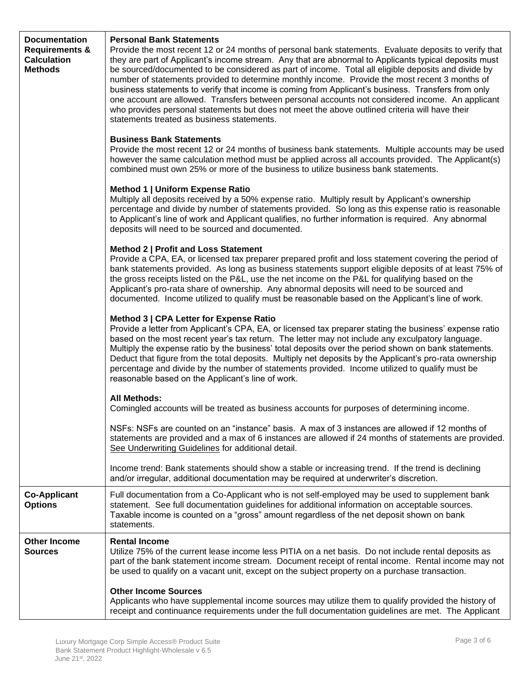| <b>Documentation</b><br><b>Requirements &amp;</b><br><b>Calculation</b><br><b>Methods</b> | <b>Personal Bank Statements</b><br>Provide the most recent 12 or 24 months of personal bank statements. Evaluate deposits to verify that<br>they are part of Applicant's income stream. Any that are abnormal to Applicants typical deposits must<br>be sourced/documented to be considered as part of income. Total all eligible deposits and divide by<br>number of statements provided to determine monthly income. Provide the most recent 3 months of<br>business statements to verify that income is coming from Applicant's business. Transfers from only<br>one account are allowed. Transfers between personal accounts not considered income. An applicant<br>who provides personal statements but does not meet the above outlined criteria will have their<br>statements treated as business statements. |  |  |  |  |  |  |  |
|-------------------------------------------------------------------------------------------|----------------------------------------------------------------------------------------------------------------------------------------------------------------------------------------------------------------------------------------------------------------------------------------------------------------------------------------------------------------------------------------------------------------------------------------------------------------------------------------------------------------------------------------------------------------------------------------------------------------------------------------------------------------------------------------------------------------------------------------------------------------------------------------------------------------------|--|--|--|--|--|--|--|
|                                                                                           | <b>Business Bank Statements</b><br>Provide the most recent 12 or 24 months of business bank statements. Multiple accounts may be used<br>however the same calculation method must be applied across all accounts provided. The Applicant(s)<br>combined must own 25% or more of the business to utilize business bank statements.                                                                                                                                                                                                                                                                                                                                                                                                                                                                                    |  |  |  |  |  |  |  |
|                                                                                           | Method 1   Uniform Expense Ratio<br>Multiply all deposits received by a 50% expense ratio. Multiply result by Applicant's ownership<br>percentage and divide by number of statements provided. So long as this expense ratio is reasonable<br>to Applicant's line of work and Applicant qualifies, no further information is required. Any abnormal<br>deposits will need to be sourced and documented.                                                                                                                                                                                                                                                                                                                                                                                                              |  |  |  |  |  |  |  |
|                                                                                           | Method 2   Profit and Loss Statement<br>Provide a CPA, EA, or licensed tax preparer prepared profit and loss statement covering the period of<br>bank statements provided. As long as business statements support eligible deposits of at least 75% of<br>the gross receipts listed on the P&L, use the net income on the P&L for qualifying based on the<br>Applicant's pro-rata share of ownership. Any abnormal deposits will need to be sourced and<br>documented. Income utilized to qualify must be reasonable based on the Applicant's line of work.                                                                                                                                                                                                                                                          |  |  |  |  |  |  |  |
|                                                                                           | Method 3   CPA Letter for Expense Ratio<br>Provide a letter from Applicant's CPA, EA, or licensed tax preparer stating the business' expense ratio<br>based on the most recent year's tax return. The letter may not include any exculpatory language.<br>Multiply the expense ratio by the business' total deposits over the period shown on bank statements.<br>Deduct that figure from the total deposits. Multiply net deposits by the Applicant's pro-rata ownership<br>percentage and divide by the number of statements provided. Income utilized to qualify must be<br>reasonable based on the Applicant's line of work.                                                                                                                                                                                     |  |  |  |  |  |  |  |
|                                                                                           | <b>All Methods:</b><br>Comingled accounts will be treated as business accounts for purposes of determining income.                                                                                                                                                                                                                                                                                                                                                                                                                                                                                                                                                                                                                                                                                                   |  |  |  |  |  |  |  |
|                                                                                           | NSFs: NSFs are counted on an "instance" basis. A max of 3 instances are allowed if 12 months of<br>statements are provided and a max of 6 instances are allowed if 24 months of statements are provided.<br>See Underwriting Guidelines for additional detail.                                                                                                                                                                                                                                                                                                                                                                                                                                                                                                                                                       |  |  |  |  |  |  |  |
|                                                                                           | Income trend: Bank statements should show a stable or increasing trend. If the trend is declining<br>and/or irregular, additional documentation may be required at underwriter's discretion.                                                                                                                                                                                                                                                                                                                                                                                                                                                                                                                                                                                                                         |  |  |  |  |  |  |  |
| <b>Co-Applicant</b><br><b>Options</b>                                                     | Full documentation from a Co-Applicant who is not self-employed may be used to supplement bank<br>statement. See full documentation guidelines for additional information on acceptable sources.<br>Taxable income is counted on a "gross" amount regardless of the net deposit shown on bank<br>statements.                                                                                                                                                                                                                                                                                                                                                                                                                                                                                                         |  |  |  |  |  |  |  |
| <b>Other Income</b><br><b>Sources</b>                                                     | <b>Rental Income</b><br>Utilize 75% of the current lease income less PITIA on a net basis. Do not include rental deposits as<br>part of the bank statement income stream. Document receipt of rental income. Rental income may not<br>be used to qualify on a vacant unit, except on the subject property on a purchase transaction.                                                                                                                                                                                                                                                                                                                                                                                                                                                                                 |  |  |  |  |  |  |  |
|                                                                                           | <b>Other Income Sources</b><br>Applicants who have supplemental income sources may utilize them to qualify provided the history of<br>receipt and continuance requirements under the full documentation guidelines are met. The Applicant                                                                                                                                                                                                                                                                                                                                                                                                                                                                                                                                                                            |  |  |  |  |  |  |  |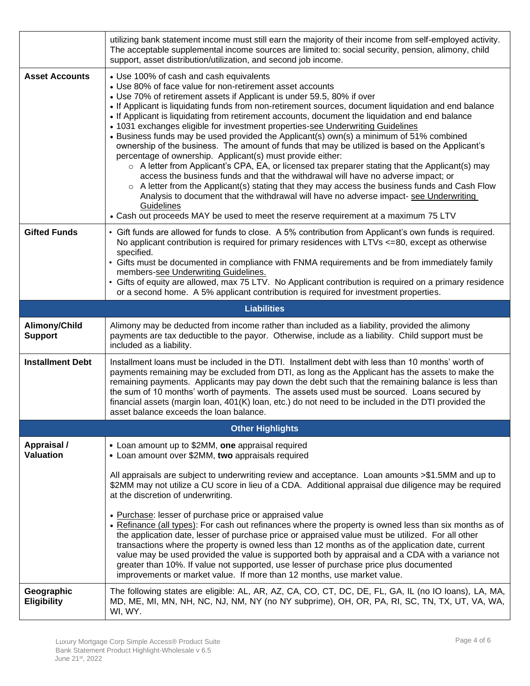|                                  | utilizing bank statement income must still earn the majority of their income from self-employed activity.<br>The acceptable supplemental income sources are limited to: social security, pension, alimony, child<br>support, asset distribution/utilization, and second job income.                                                                                                                                                                                                                                                                                                                                                                                                                                                                                                                                                                                                                                                                                                                                                                                                                                                                                                                                                      |  |  |  |  |  |  |  |  |
|----------------------------------|------------------------------------------------------------------------------------------------------------------------------------------------------------------------------------------------------------------------------------------------------------------------------------------------------------------------------------------------------------------------------------------------------------------------------------------------------------------------------------------------------------------------------------------------------------------------------------------------------------------------------------------------------------------------------------------------------------------------------------------------------------------------------------------------------------------------------------------------------------------------------------------------------------------------------------------------------------------------------------------------------------------------------------------------------------------------------------------------------------------------------------------------------------------------------------------------------------------------------------------|--|--|--|--|--|--|--|--|
| <b>Asset Accounts</b>            | • Use 100% of cash and cash equivalents<br>• Use 80% of face value for non-retirement asset accounts<br>• Use 70% of retirement assets if Applicant is under 59.5, 80% if over<br>• If Applicant is liquidating funds from non-retirement sources, document liquidation and end balance<br>• If Applicant is liquidating from retirement accounts, document the liquidation and end balance<br>• 1031 exchanges eligible for investment properties-see Underwriting Guidelines<br>• Business funds may be used provided the Applicant(s) own(s) a minimum of 51% combined<br>ownership of the business. The amount of funds that may be utilized is based on the Applicant's<br>percentage of ownership. Applicant(s) must provide either:<br>o A letter from Applicant's CPA, EA, or licensed tax preparer stating that the Applicant(s) may<br>access the business funds and that the withdrawal will have no adverse impact; or<br>$\circ$ A letter from the Applicant(s) stating that they may access the business funds and Cash Flow<br>Analysis to document that the withdrawal will have no adverse impact-see Underwriting<br>Guidelines<br>• Cash out proceeds MAY be used to meet the reserve requirement at a maximum 75 LTV |  |  |  |  |  |  |  |  |
| <b>Gifted Funds</b>              | • Gift funds are allowed for funds to close. A 5% contribution from Applicant's own funds is required.<br>No applicant contribution is required for primary residences with LTVs <=80, except as otherwise<br>specified.<br>• Gifts must be documented in compliance with FNMA requirements and be from immediately family<br>members-see Underwriting Guidelines.<br>• Gifts of equity are allowed, max 75 LTV. No Applicant contribution is required on a primary residence                                                                                                                                                                                                                                                                                                                                                                                                                                                                                                                                                                                                                                                                                                                                                            |  |  |  |  |  |  |  |  |
|                                  | or a second home. A 5% applicant contribution is required for investment properties.<br><b>Liabilities</b>                                                                                                                                                                                                                                                                                                                                                                                                                                                                                                                                                                                                                                                                                                                                                                                                                                                                                                                                                                                                                                                                                                                               |  |  |  |  |  |  |  |  |
| Alimony/Child                    | Alimony may be deducted from income rather than included as a liability, provided the alimony                                                                                                                                                                                                                                                                                                                                                                                                                                                                                                                                                                                                                                                                                                                                                                                                                                                                                                                                                                                                                                                                                                                                            |  |  |  |  |  |  |  |  |
| <b>Support</b>                   | payments are tax deductible to the payor. Otherwise, include as a liability. Child support must be<br>included as a liability.                                                                                                                                                                                                                                                                                                                                                                                                                                                                                                                                                                                                                                                                                                                                                                                                                                                                                                                                                                                                                                                                                                           |  |  |  |  |  |  |  |  |
| <b>Installment Debt</b>          | Installment loans must be included in the DTI. Installment debt with less than 10 months' worth of<br>payments remaining may be excluded from DTI, as long as the Applicant has the assets to make the<br>remaining payments. Applicants may pay down the debt such that the remaining balance is less than<br>the sum of 10 months' worth of payments. The assets used must be sourced. Loans secured by<br>financial assets (margin loan, 401(K) loan, etc.) do not need to be included in the DTI provided the<br>asset balance exceeds the loan balance.                                                                                                                                                                                                                                                                                                                                                                                                                                                                                                                                                                                                                                                                             |  |  |  |  |  |  |  |  |
|                                  | <b>Other Highlights</b>                                                                                                                                                                                                                                                                                                                                                                                                                                                                                                                                                                                                                                                                                                                                                                                                                                                                                                                                                                                                                                                                                                                                                                                                                  |  |  |  |  |  |  |  |  |
| Appraisal /<br><b>Valuation</b>  | • Loan amount up to \$2MM, one appraisal required<br>• Loan amount over \$2MM, two appraisals required                                                                                                                                                                                                                                                                                                                                                                                                                                                                                                                                                                                                                                                                                                                                                                                                                                                                                                                                                                                                                                                                                                                                   |  |  |  |  |  |  |  |  |
|                                  | All appraisals are subject to underwriting review and acceptance. Loan amounts >\$1.5MM and up to<br>\$2MM may not utilize a CU score in lieu of a CDA. Additional appraisal due diligence may be required<br>at the discretion of underwriting.                                                                                                                                                                                                                                                                                                                                                                                                                                                                                                                                                                                                                                                                                                                                                                                                                                                                                                                                                                                         |  |  |  |  |  |  |  |  |
|                                  | • Purchase: lesser of purchase price or appraised value<br>• Refinance (all types): For cash out refinances where the property is owned less than six months as of<br>the application date, lesser of purchase price or appraised value must be utilized. For all other<br>transactions where the property is owned less than 12 months as of the application date, current<br>value may be used provided the value is supported both by appraisal and a CDA with a variance not<br>greater than 10%. If value not supported, use lesser of purchase price plus documented<br>improvements or market value. If more than 12 months, use market value.                                                                                                                                                                                                                                                                                                                                                                                                                                                                                                                                                                                    |  |  |  |  |  |  |  |  |
| Geographic<br><b>Eligibility</b> | The following states are eligible: AL, AR, AZ, CA, CO, CT, DC, DE, FL, GA, IL (no IO loans), LA, MA,<br>MD, ME, MI, MN, NH, NC, NJ, NM, NY (no NY subprime), OH, OR, PA, RI, SC, TN, TX, UT, VA, WA,<br>WI, WY.                                                                                                                                                                                                                                                                                                                                                                                                                                                                                                                                                                                                                                                                                                                                                                                                                                                                                                                                                                                                                          |  |  |  |  |  |  |  |  |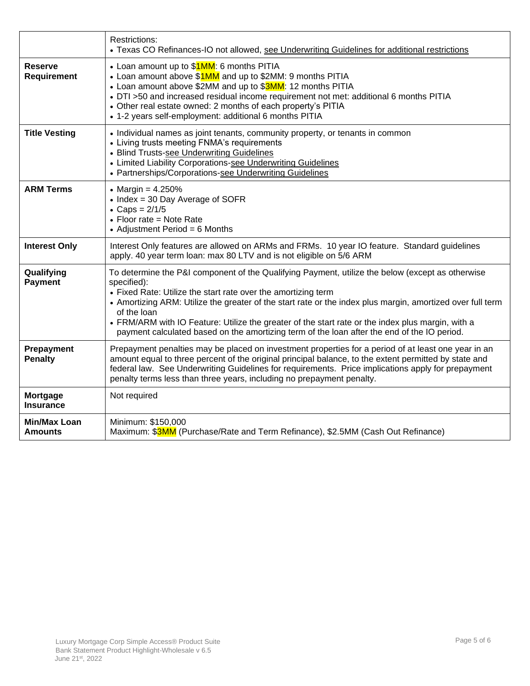|                                       | <b>Restrictions:</b><br>• Texas CO Refinances-IO not allowed, see Underwriting Guidelines for additional restrictions                                                                                                                                                                                                                                                                                                                                                                                             |
|---------------------------------------|-------------------------------------------------------------------------------------------------------------------------------------------------------------------------------------------------------------------------------------------------------------------------------------------------------------------------------------------------------------------------------------------------------------------------------------------------------------------------------------------------------------------|
| <b>Reserve</b><br>Requirement         | • Loan amount up to \$1MM: 6 months PITIA<br>• Loan amount above \$1MM and up to \$2MM: 9 months PITIA<br>• Loan amount above \$2MM and up to \$3MM: 12 months PITIA<br>• DTI >50 and increased residual income requirement not met: additional 6 months PITIA<br>• Other real estate owned: 2 months of each property's PITIA<br>• 1-2 years self-employment: additional 6 months PITIA                                                                                                                          |
| <b>Title Vesting</b>                  | • Individual names as joint tenants, community property, or tenants in common<br>• Living trusts meeting FNMA's requirements<br>• Blind Trusts-see Underwriting Guidelines<br>• Limited Liability Corporations-see Underwriting Guidelines<br>• Partnerships/Corporations-see Underwriting Guidelines                                                                                                                                                                                                             |
| <b>ARM Terms</b>                      | • Margin = $4.250%$<br>• Index = 30 Day Average of SOFR<br>• Caps = $2/1/5$<br>$\bullet$ Floor rate = Note Rate<br>• Adjustment Period = $6$ Months                                                                                                                                                                                                                                                                                                                                                               |
| <b>Interest Only</b>                  | Interest Only features are allowed on ARMs and FRMs. 10 year IO feature. Standard guidelines<br>apply. 40 year term loan: max 80 LTV and is not eligible on 5/6 ARM                                                                                                                                                                                                                                                                                                                                               |
| Qualifying<br><b>Payment</b>          | To determine the P&I component of the Qualifying Payment, utilize the below (except as otherwise<br>specified):<br>• Fixed Rate: Utilize the start rate over the amortizing term<br>• Amortizing ARM: Utilize the greater of the start rate or the index plus margin, amortized over full term<br>of the loan<br>• FRM/ARM with IO Feature: Utilize the greater of the start rate or the index plus margin, with a<br>payment calculated based on the amortizing term of the loan after the end of the IO period. |
| Prepayment<br><b>Penalty</b>          | Prepayment penalties may be placed on investment properties for a period of at least one year in an<br>amount equal to three percent of the original principal balance, to the extent permitted by state and<br>federal law. See Underwriting Guidelines for requirements. Price implications apply for prepayment<br>penalty terms less than three years, including no prepayment penalty.                                                                                                                       |
| Mortgage<br><b>Insurance</b>          | Not required                                                                                                                                                                                                                                                                                                                                                                                                                                                                                                      |
| <b>Min/Max Loan</b><br><b>Amounts</b> | Minimum: \$150,000<br>Maximum: \$3MM (Purchase/Rate and Term Refinance), \$2.5MM (Cash Out Refinance)                                                                                                                                                                                                                                                                                                                                                                                                             |